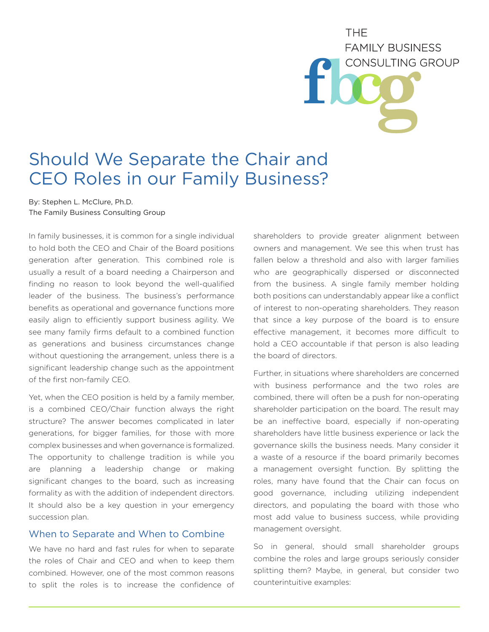**THF FAMILY BUSINESS** CONSULTING GROUP

# Should We Separate the Chair and CEO Roles in our Family Business?

By: Stephen L. McClure, Ph.D. The Family Business Consulting Group

In family businesses, it is common for a single individual to hold both the CEO and Chair of the Board positions generation after generation. This combined role is usually a result of a board needing a Chairperson and finding no reason to look beyond the well-qualified leader of the business. The business's performance benefits as operational and governance functions more easily align to efficiently support business agility. We see many family firms default to a combined function as generations and business circumstances change without questioning the arrangement, unless there is a significant leadership change such as the appointment of the first non-family CEO.

Yet, when the CEO position is held by a family member, is a combined CEO/Chair function always the right structure? The answer becomes complicated in later generations, for bigger families, for those with more complex businesses and when governance is formalized. The opportunity to challenge tradition is while you are planning a leadership change or making significant changes to the board, such as increasing formality as with the addition of independent directors. It should also be a key question in your emergency succession plan.

#### When to Separate and When to Combine

We have no hard and fast rules for when to separate the roles of Chair and CEO and when to keep them combined. However, one of the most common reasons to split the roles is to increase the confidence of shareholders to provide greater alignment between owners and management. We see this when trust has fallen below a threshold and also with larger families who are geographically dispersed or disconnected from the business. A single family member holding both positions can understandably appear like a conflict of interest to non-operating shareholders. They reason that since a key purpose of the board is to ensure effective management, it becomes more difficult to hold a CEO accountable if that person is also leading the board of directors.

Further, in situations where shareholders are concerned with business performance and the two roles are combined, there will often be a push for non-operating shareholder participation on the board. The result may be an ineffective board, especially if non-operating shareholders have little business experience or lack the governance skills the business needs. Many consider it a waste of a resource if the board primarily becomes a management oversight function. By splitting the roles, many have found that the Chair can focus on good governance, including utilizing independent directors, and populating the board with those who most add value to business success, while providing management oversight.

So in general, should small shareholder groups combine the roles and large groups seriously consider splitting them? Maybe, in general, but consider two counterintuitive examples: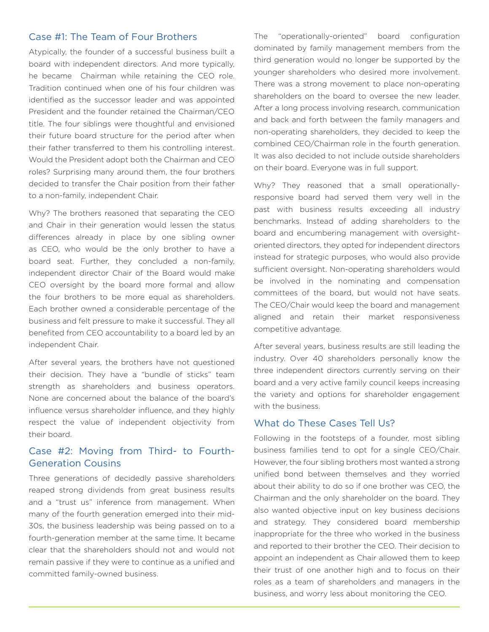### Case #1: The Team of Four Brothers

Atypically, the founder of a successful business built a board with independent directors. And more typically, he became Chairman while retaining the CEO role. Tradition continued when one of his four children was identified as the successor leader and was appointed President and the founder retained the Chairman/CEO title. The four siblings were thoughtful and envisioned their future board structure for the period after when their father transferred to them his controlling interest. Would the President adopt both the Chairman and CEO roles? Surprising many around them, the four brothers decided to transfer the Chair position from their father to a non-family, independent Chair.

Why? The brothers reasoned that separating the CEO and Chair in their generation would lessen the status differences already in place by one sibling owner as CEO, who would be the only brother to have a board seat. Further, they concluded a non-family, independent director Chair of the Board would make CEO oversight by the board more formal and allow the four brothers to be more equal as shareholders. Each brother owned a considerable percentage of the business and felt pressure to make it successful. They all benefited from CEO accountability to a board led by an independent Chair.

After several years, the brothers have not questioned their decision. They have a "bundle of sticks" team strength as shareholders and business operators. None are concerned about the balance of the board's influence versus shareholder influence, and they highly respect the value of independent objectivity from their board.

## Case #2: Moving from Third- to Fourth-Generation Cousins

Three generations of decidedly passive shareholders reaped strong dividends from great business results and a "trust us" inference from management. When many of the fourth generation emerged into their mid-30s, the business leadership was being passed on to a fourth-generation member at the same time. It became clear that the shareholders should not and would not remain passive if they were to continue as a unified and committed family-owned business.

The "operationally-oriented" board configuration dominated by family management members from the third generation would no longer be supported by the younger shareholders who desired more involvement. There was a strong movement to place non-operating shareholders on the board to oversee the new leader. After a long process involving research, communication and back and forth between the family managers and non-operating shareholders, they decided to keep the combined CEO/Chairman role in the fourth generation. It was also decided to not include outside shareholders on their board. Everyone was in full support.

Why? They reasoned that a small operationallyresponsive board had served them very well in the past with business results exceeding all industry benchmarks. Instead of adding shareholders to the board and encumbering management with oversightoriented directors, they opted for independent directors instead for strategic purposes, who would also provide sufficient oversight. Non-operating shareholders would be involved in the nominating and compensation committees of the board, but would not have seats. The CEO/Chair would keep the board and management aligned and retain their market responsiveness competitive advantage.

After several years, business results are still leading the industry. Over 40 shareholders personally know the three independent directors currently serving on their board and a very active family council keeps increasing the variety and options for shareholder engagement with the business.

#### What do These Cases Tell Us?

Following in the footsteps of a founder, most sibling business families tend to opt for a single CEO/Chair. However, the four sibling brothers most wanted a strong unified bond between themselves and they worried about their ability to do so if one brother was CEO, the Chairman and the only shareholder on the board. They also wanted objective input on key business decisions and strategy. They considered board membership inappropriate for the three who worked in the business and reported to their brother the CEO. Their decision to appoint an independent as Chair allowed them to keep their trust of one another high and to focus on their roles as a team of shareholders and managers in the business, and worry less about monitoring the CEO.